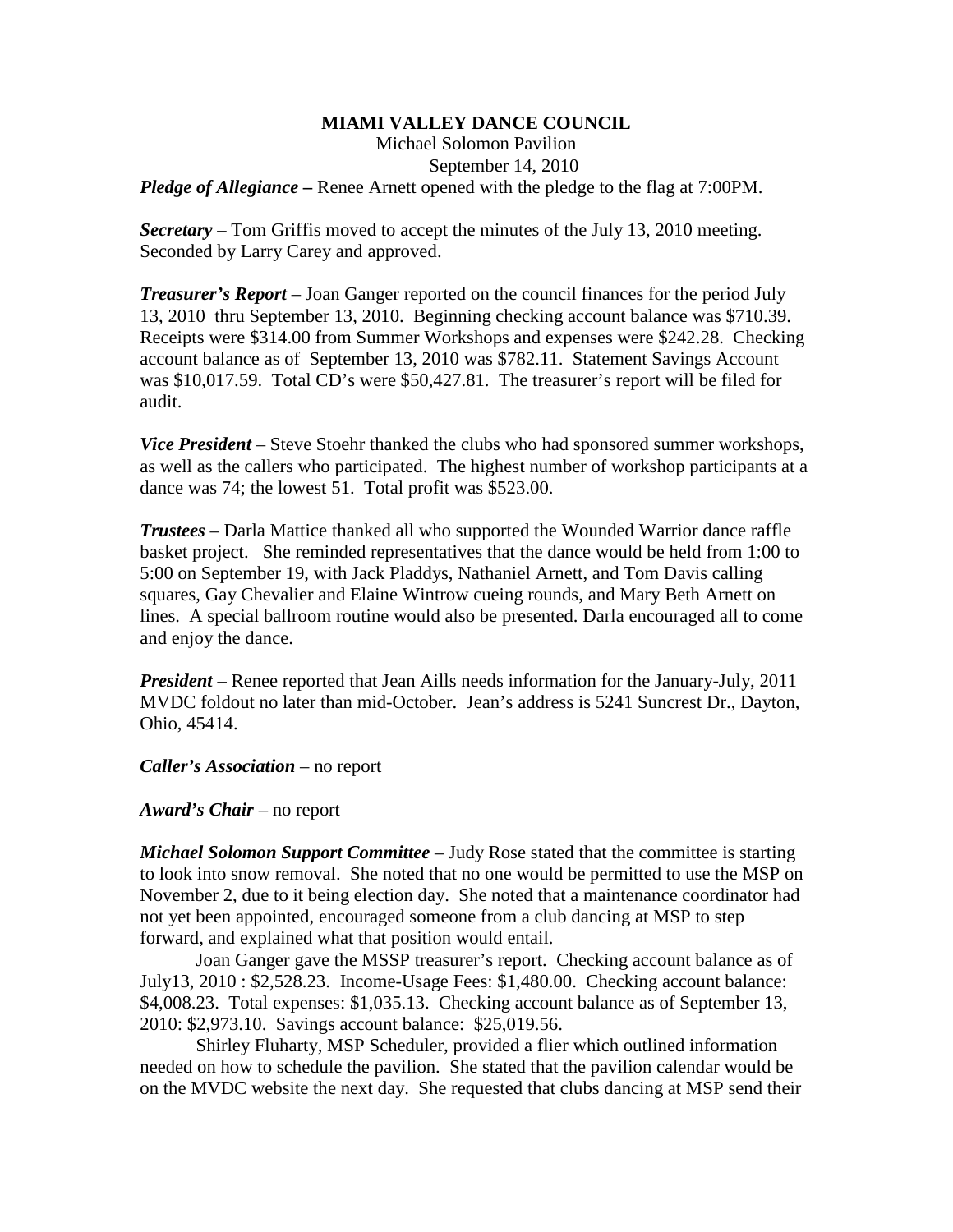## **MIAMI VALLEY DANCE COUNCIL**

Michael Solomon Pavilion September 14, 2010

*Pledge of Allegiance* – Renee Arnett opened with the pledge to the flag at 7:00PM.

*Secretary –* Tom Griffis moved to accept the minutes of the July 13, 2010 meeting. Seconded by Larry Carey and approved.

*Treasurer's Report* – Joan Ganger reported on the council finances for the period July 13, 2010 thru September 13, 2010. Beginning checking account balance was \$710.39. Receipts were \$314.00 from Summer Workshops and expenses were \$242.28. Checking account balance as of September 13, 2010 was \$782.11. Statement Savings Account was \$10,017.59. Total CD's were \$50,427.81. The treasurer's report will be filed for audit.

*Vice President* – Steve Stoehr thanked the clubs who had sponsored summer workshops, as well as the callers who participated. The highest number of workshop participants at a dance was 74; the lowest 51. Total profit was \$523.00.

*Trustees* – Darla Mattice thanked all who supported the Wounded Warrior dance raffle basket project. She reminded representatives that the dance would be held from 1:00 to 5:00 on September 19, with Jack Pladdys, Nathaniel Arnett, and Tom Davis calling squares, Gay Chevalier and Elaine Wintrow cueing rounds, and Mary Beth Arnett on lines. A special ballroom routine would also be presented. Darla encouraged all to come and enjoy the dance.

*President* – Renee reported that Jean Aills needs information for the January-July, 2011 MVDC foldout no later than mid-October. Jean's address is 5241 Suncrest Dr., Dayton, Ohio, 45414.

*Caller's Association* – no report

*Award's Chair* – no report

*Michael Solomon Support Committee* – Judy Rose stated that the committee is starting to look into snow removal. She noted that no one would be permitted to use the MSP on November 2, due to it being election day. She noted that a maintenance coordinator had not yet been appointed, encouraged someone from a club dancing at MSP to step forward, and explained what that position would entail.

Joan Ganger gave the MSSP treasurer's report. Checking account balance as of July13, 2010 : \$2,528.23. Income-Usage Fees: \$1,480.00. Checking account balance: \$4,008.23. Total expenses: \$1,035.13. Checking account balance as of September 13, 2010: \$2,973.10. Savings account balance: \$25,019.56.

Shirley Fluharty, MSP Scheduler, provided a flier which outlined information needed on how to schedule the pavilion. She stated that the pavilion calendar would be on the MVDC website the next day. She requested that clubs dancing at MSP send their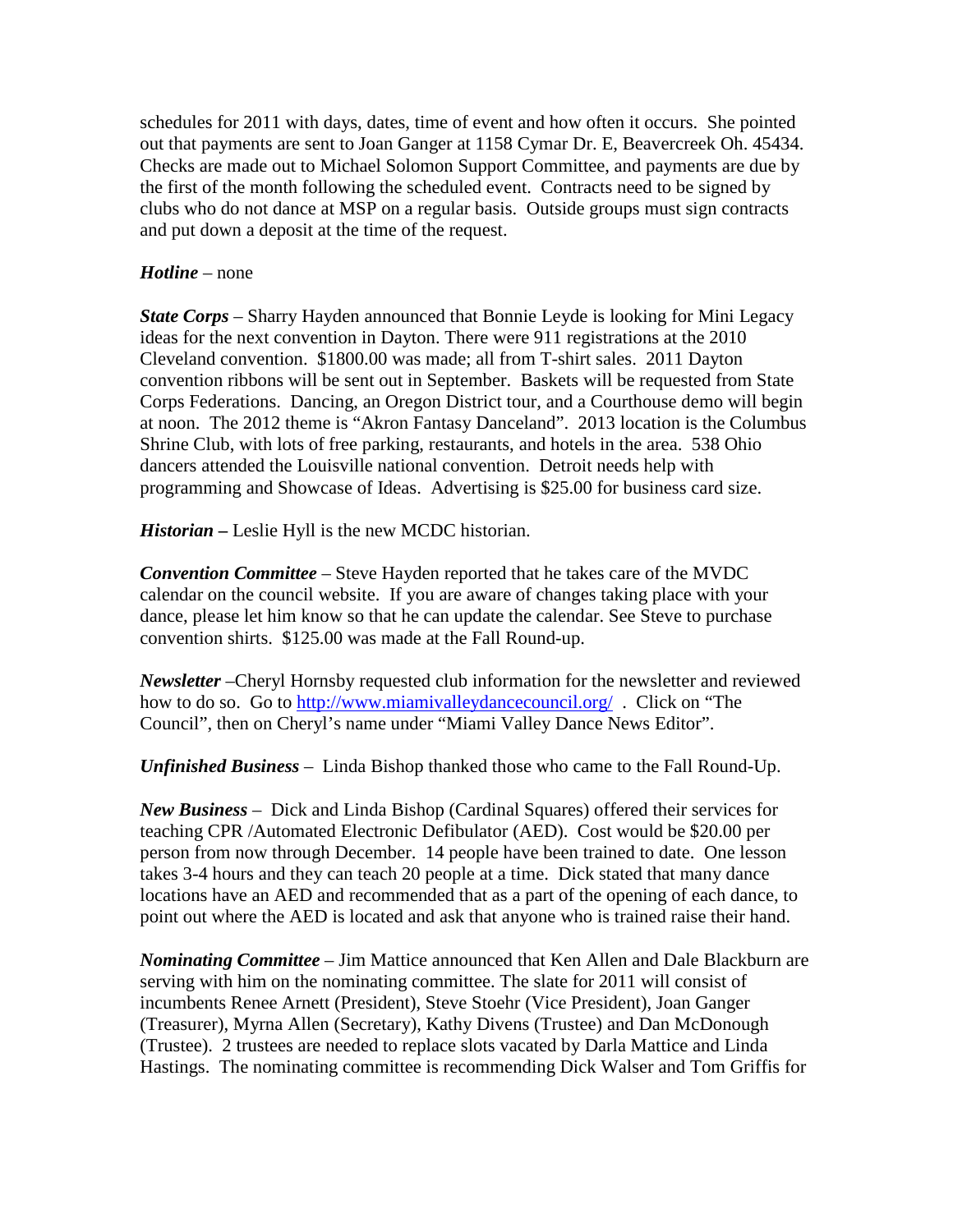schedules for 2011 with days, dates, time of event and how often it occurs. She pointed out that payments are sent to Joan Ganger at 1158 Cymar Dr. E, Beavercreek Oh. 45434. Checks are made out to Michael Solomon Support Committee, and payments are due by the first of the month following the scheduled event. Contracts need to be signed by clubs who do not dance at MSP on a regular basis. Outside groups must sign contracts and put down a deposit at the time of the request.

## *Hotline* – none

*State Corps* – Sharry Hayden announced that Bonnie Leyde is looking for Mini Legacy ideas for the next convention in Dayton. There were 911 registrations at the 2010 Cleveland convention. \$1800.00 was made; all from T-shirt sales. 2011 Dayton convention ribbons will be sent out in September. Baskets will be requested from State Corps Federations. Dancing, an Oregon District tour, and a Courthouse demo will begin at noon. The 2012 theme is "Akron Fantasy Danceland". 2013 location is the Columbus Shrine Club, with lots of free parking, restaurants, and hotels in the area. 538 Ohio dancers attended the Louisville national convention. Detroit needs help with programming and Showcase of Ideas. Advertising is \$25.00 for business card size.

*Historian –* Leslie Hyll is the new MCDC historian.

*Convention Committee* – Steve Hayden reported that he takes care of the MVDC calendar on the council website. If you are aware of changes taking place with your dance, please let him know so that he can update the calendar. See Steve to purchase convention shirts. \$125.00 was made at the Fall Round-up.

*Newsletter* –Cheryl Hornsby requested club information for the newsletter and reviewed how to do so. Go to<http://www.miamivalleydancecouncil.org/>. Click on "The Council", then on Cheryl's name under "Miami Valley Dance News Editor".

*Unfinished Business* – Linda Bishop thanked those who came to the Fall Round-Up.

*New Business* – Dick and Linda Bishop (Cardinal Squares) offered their services for teaching CPR /Automated Electronic Defibulator (AED). Cost would be \$20.00 per person from now through December. 14 people have been trained to date. One lesson takes 3-4 hours and they can teach 20 people at a time. Dick stated that many dance locations have an AED and recommended that as a part of the opening of each dance, to point out where the AED is located and ask that anyone who is trained raise their hand.

*Nominating Committee* – Jim Mattice announced that Ken Allen and Dale Blackburn are serving with him on the nominating committee. The slate for 2011 will consist of incumbents Renee Arnett (President), Steve Stoehr (Vice President), Joan Ganger (Treasurer), Myrna Allen (Secretary), Kathy Divens (Trustee) and Dan McDonough (Trustee). 2 trustees are needed to replace slots vacated by Darla Mattice and Linda Hastings. The nominating committee is recommending Dick Walser and Tom Griffis for